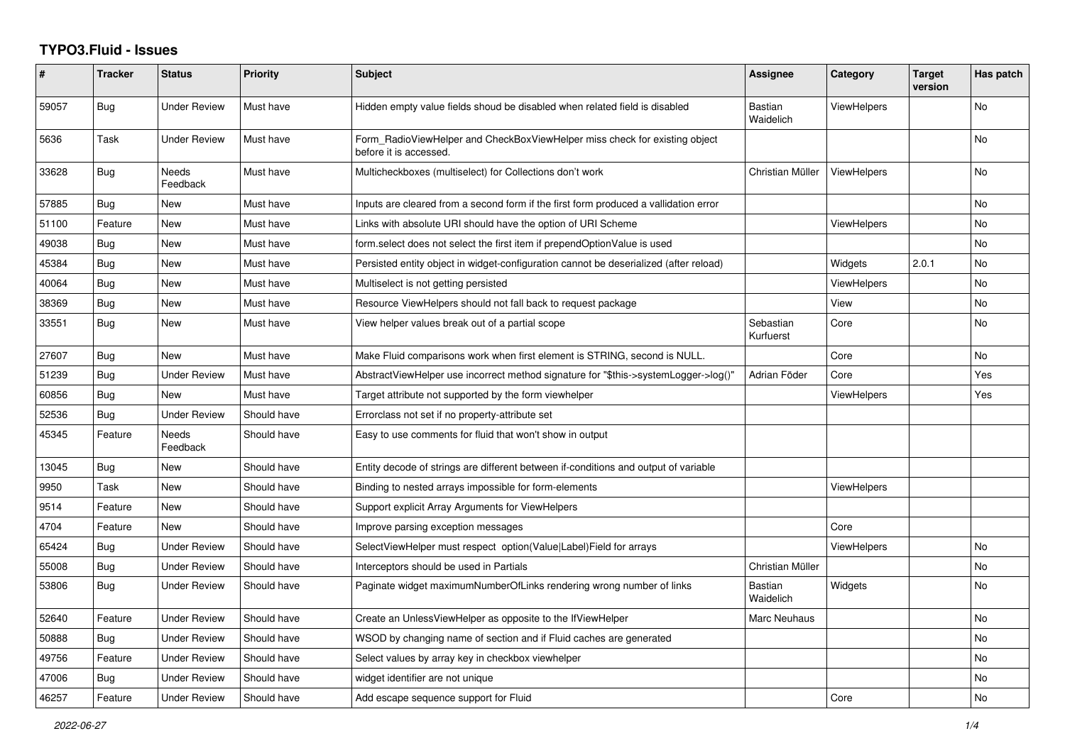## **TYPO3.Fluid - Issues**

| #     | <b>Tracker</b> | <b>Status</b>            | Priority    | <b>Subject</b>                                                                                       | <b>Assignee</b>             | Category           | <b>Target</b><br>version | Has patch |
|-------|----------------|--------------------------|-------------|------------------------------------------------------------------------------------------------------|-----------------------------|--------------------|--------------------------|-----------|
| 59057 | Bug            | <b>Under Review</b>      | Must have   | Hidden empty value fields shoud be disabled when related field is disabled                           | <b>Bastian</b><br>Waidelich | <b>ViewHelpers</b> |                          | <b>No</b> |
| 5636  | Task           | Under Review             | Must have   | Form_RadioViewHelper and CheckBoxViewHelper miss check for existing object<br>before it is accessed. |                             |                    |                          | No        |
| 33628 | <b>Bug</b>     | Needs<br>Feedback        | Must have   | Multicheckboxes (multiselect) for Collections don't work                                             | Christian Müller            | <b>ViewHelpers</b> |                          | No        |
| 57885 | Bug            | New                      | Must have   | Inputs are cleared from a second form if the first form produced a vallidation error                 |                             |                    |                          | No        |
| 51100 | Feature        | <b>New</b>               | Must have   | Links with absolute URI should have the option of URI Scheme                                         |                             | ViewHelpers        |                          | <b>No</b> |
| 49038 | Bug            | New                      | Must have   | form.select does not select the first item if prependOptionValue is used                             |                             |                    |                          | <b>No</b> |
| 45384 | Bug            | New                      | Must have   | Persisted entity object in widget-configuration cannot be deserialized (after reload)                |                             | Widgets            | 2.0.1                    | No        |
| 40064 | <b>Bug</b>     | New                      | Must have   | Multiselect is not getting persisted                                                                 |                             | ViewHelpers        |                          | <b>No</b> |
| 38369 | Bug            | New                      | Must have   | Resource ViewHelpers should not fall back to request package                                         |                             | View               |                          | <b>No</b> |
| 33551 | Bug            | New                      | Must have   | View helper values break out of a partial scope                                                      | Sebastian<br>Kurfuerst      | Core               |                          | No        |
| 27607 | Bug            | New                      | Must have   | Make Fluid comparisons work when first element is STRING, second is NULL.                            |                             | Core               |                          | No.       |
| 51239 | Bug            | Under Review             | Must have   | AbstractViewHelper use incorrect method signature for "\$this->systemLogger->log()"                  | Adrian Föder                | Core               |                          | Yes       |
| 60856 | <b>Bug</b>     | New                      | Must have   | Target attribute not supported by the form viewhelper                                                |                             | ViewHelpers        |                          | Yes       |
| 52536 | Bug            | <b>Under Review</b>      | Should have | Errorclass not set if no property-attribute set                                                      |                             |                    |                          |           |
| 45345 | Feature        | <b>Needs</b><br>Feedback | Should have | Easy to use comments for fluid that won't show in output                                             |                             |                    |                          |           |
| 13045 | <b>Bug</b>     | <b>New</b>               | Should have | Entity decode of strings are different between if-conditions and output of variable                  |                             |                    |                          |           |
| 9950  | Task           | New                      | Should have | Binding to nested arrays impossible for form-elements                                                |                             | <b>ViewHelpers</b> |                          |           |
| 9514  | Feature        | New                      | Should have | Support explicit Array Arguments for ViewHelpers                                                     |                             |                    |                          |           |
| 4704  | Feature        | New                      | Should have | Improve parsing exception messages                                                                   |                             | Core               |                          |           |
| 65424 | Bug            | <b>Under Review</b>      | Should have | SelectViewHelper must respect option(Value Label)Field for arrays                                    |                             | <b>ViewHelpers</b> |                          | <b>No</b> |
| 55008 | Bug            | <b>Under Review</b>      | Should have | Interceptors should be used in Partials                                                              | Christian Müller            |                    |                          | No        |
| 53806 | <b>Bug</b>     | <b>Under Review</b>      | Should have | Paginate widget maximumNumberOfLinks rendering wrong number of links                                 | <b>Bastian</b><br>Waidelich | Widgets            |                          | No        |
| 52640 | Feature        | <b>Under Review</b>      | Should have | Create an UnlessViewHelper as opposite to the IfViewHelper                                           | Marc Neuhaus                |                    |                          | <b>No</b> |
| 50888 | <b>Bug</b>     | <b>Under Review</b>      | Should have | WSOD by changing name of section and if Fluid caches are generated                                   |                             |                    |                          | No        |
| 49756 | Feature        | <b>Under Review</b>      | Should have | Select values by array key in checkbox viewhelper                                                    |                             |                    |                          | No        |
| 47006 | Bug            | <b>Under Review</b>      | Should have | widget identifier are not unique                                                                     |                             |                    |                          | No        |
| 46257 | Feature        | <b>Under Review</b>      | Should have | Add escape sequence support for Fluid                                                                |                             | Core               |                          | No        |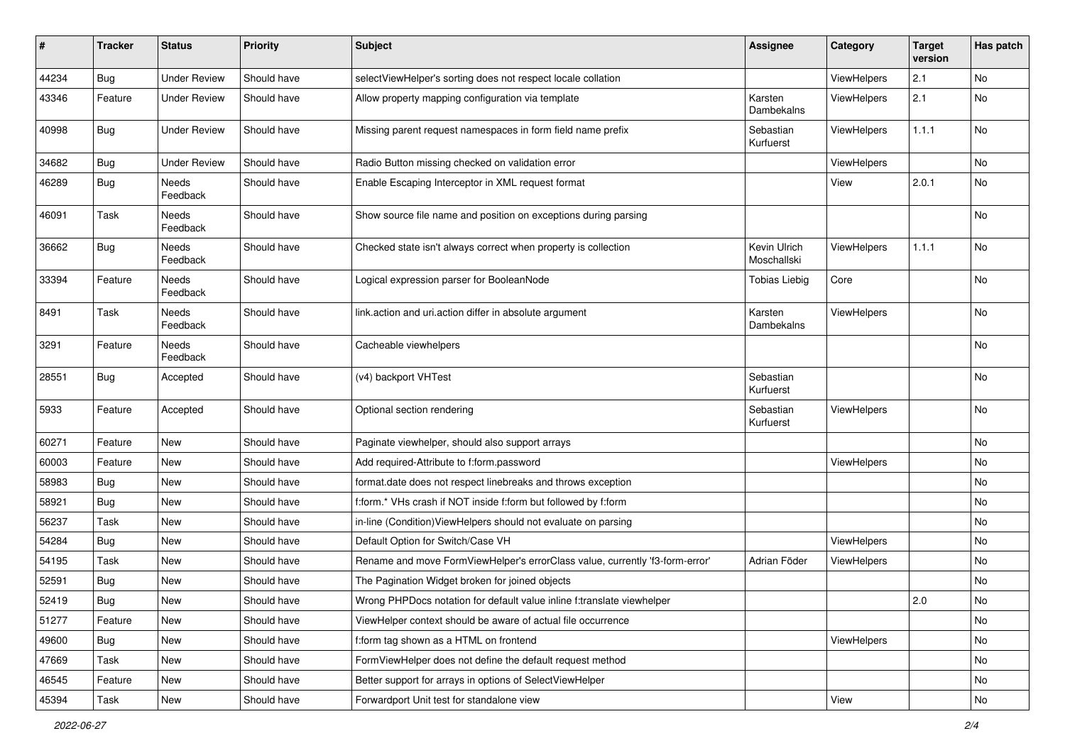| #     | <b>Tracker</b> | <b>Status</b>       | <b>Priority</b> | Subject                                                                      | <b>Assignee</b>             | Category           | <b>Target</b><br>version | Has patch |
|-------|----------------|---------------------|-----------------|------------------------------------------------------------------------------|-----------------------------|--------------------|--------------------------|-----------|
| 44234 | Bug            | <b>Under Review</b> | Should have     | selectViewHelper's sorting does not respect locale collation                 |                             | ViewHelpers        | 2.1                      | No        |
| 43346 | Feature        | Under Review        | Should have     | Allow property mapping configuration via template                            | Karsten<br>Dambekalns       | ViewHelpers        | 2.1                      | No        |
| 40998 | <b>Bug</b>     | <b>Under Review</b> | Should have     | Missing parent request namespaces in form field name prefix                  | Sebastian<br>Kurfuerst      | ViewHelpers        | 1.1.1                    | No        |
| 34682 | Bug            | <b>Under Review</b> | Should have     | Radio Button missing checked on validation error                             |                             | ViewHelpers        |                          | No        |
| 46289 | Bug            | Needs<br>Feedback   | Should have     | Enable Escaping Interceptor in XML request format                            |                             | View               | 2.0.1                    | No        |
| 46091 | Task           | Needs<br>Feedback   | Should have     | Show source file name and position on exceptions during parsing              |                             |                    |                          | No        |
| 36662 | Bug            | Needs<br>Feedback   | Should have     | Checked state isn't always correct when property is collection               | Kevin Ulrich<br>Moschallski | ViewHelpers        | 1.1.1                    | No        |
| 33394 | Feature        | Needs<br>Feedback   | Should have     | Logical expression parser for BooleanNode                                    | <b>Tobias Liebig</b>        | Core               |                          | No        |
| 8491  | Task           | Needs<br>Feedback   | Should have     | link.action and uri.action differ in absolute argument                       | Karsten<br>Dambekalns       | ViewHelpers        |                          | No        |
| 3291  | Feature        | Needs<br>Feedback   | Should have     | Cacheable viewhelpers                                                        |                             |                    |                          | No        |
| 28551 | Bug            | Accepted            | Should have     | (v4) backport VHTest                                                         | Sebastian<br>Kurfuerst      |                    |                          | No        |
| 5933  | Feature        | Accepted            | Should have     | Optional section rendering                                                   | Sebastian<br>Kurfuerst      | ViewHelpers        |                          | No        |
| 60271 | Feature        | New                 | Should have     | Paginate viewhelper, should also support arrays                              |                             |                    |                          | No        |
| 60003 | Feature        | New                 | Should have     | Add required-Attribute to f:form.password                                    |                             | ViewHelpers        |                          | No        |
| 58983 | Bug            | New                 | Should have     | format.date does not respect linebreaks and throws exception                 |                             |                    |                          | No        |
| 58921 | Bug            | New                 | Should have     | f:form.* VHs crash if NOT inside f:form but followed by f:form               |                             |                    |                          | No        |
| 56237 | Task           | New                 | Should have     | in-line (Condition) ViewHelpers should not evaluate on parsing               |                             |                    |                          | No        |
| 54284 | Bug            | New                 | Should have     | Default Option for Switch/Case VH                                            |                             | ViewHelpers        |                          | No        |
| 54195 | Task           | New                 | Should have     | Rename and move FormViewHelper's errorClass value, currently 'f3-form-error' | Adrian Föder                | <b>ViewHelpers</b> |                          | No        |
| 52591 | <b>Bug</b>     | New                 | Should have     | The Pagination Widget broken for joined objects                              |                             |                    |                          | No        |
| 52419 | i Bug          | New                 | Should have     | Wrong PHPDocs notation for default value inline f:translate viewhelper       |                             |                    | 2.0                      | No        |
| 51277 | Feature        | New                 | Should have     | ViewHelper context should be aware of actual file occurrence                 |                             |                    |                          | No        |
| 49600 | Bug            | New                 | Should have     | f:form tag shown as a HTML on frontend                                       |                             | ViewHelpers        |                          | No        |
| 47669 | Task           | New                 | Should have     | FormViewHelper does not define the default request method                    |                             |                    |                          | No        |
| 46545 | Feature        | New                 | Should have     | Better support for arrays in options of SelectViewHelper                     |                             |                    |                          | No        |
| 45394 | Task           | New                 | Should have     | Forwardport Unit test for standalone view                                    |                             | View               |                          | No        |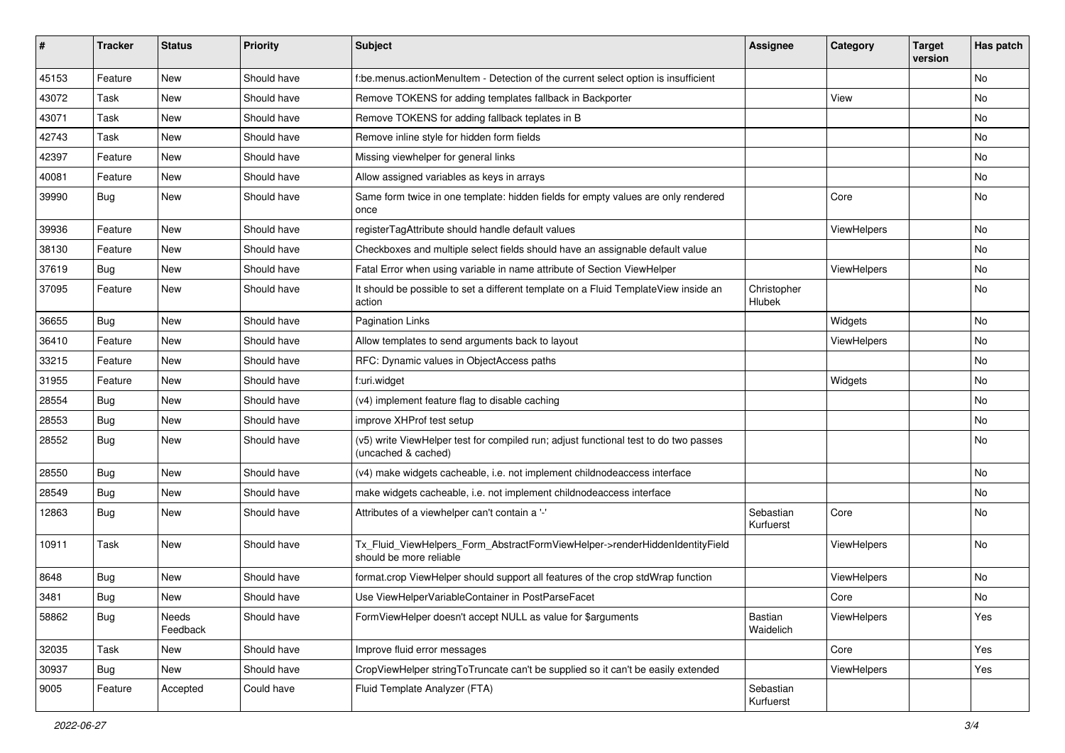| #     | <b>Tracker</b> | <b>Status</b>     | <b>Priority</b> | <b>Subject</b>                                                                                              | <b>Assignee</b>        | Category    | <b>Target</b><br>version | Has patch |
|-------|----------------|-------------------|-----------------|-------------------------------------------------------------------------------------------------------------|------------------------|-------------|--------------------------|-----------|
| 45153 | Feature        | New               | Should have     | f:be.menus.actionMenuItem - Detection of the current select option is insufficient                          |                        |             |                          | <b>No</b> |
| 43072 | Task           | New               | Should have     | Remove TOKENS for adding templates fallback in Backporter                                                   |                        | View        |                          | No        |
| 43071 | Task           | New               | Should have     | Remove TOKENS for adding fallback teplates in B                                                             |                        |             |                          | No        |
| 42743 | Task           | New               | Should have     | Remove inline style for hidden form fields                                                                  |                        |             |                          | No        |
| 42397 | Feature        | <b>New</b>        | Should have     | Missing viewhelper for general links                                                                        |                        |             |                          | No        |
| 40081 | Feature        | New               | Should have     | Allow assigned variables as keys in arrays                                                                  |                        |             |                          | No        |
| 39990 | Bug            | New               | Should have     | Same form twice in one template: hidden fields for empty values are only rendered<br>once                   |                        | Core        |                          | No        |
| 39936 | Feature        | <b>New</b>        | Should have     | registerTagAttribute should handle default values                                                           |                        | ViewHelpers |                          | No        |
| 38130 | Feature        | New               | Should have     | Checkboxes and multiple select fields should have an assignable default value                               |                        |             |                          | No        |
| 37619 | Bug            | <b>New</b>        | Should have     | Fatal Error when using variable in name attribute of Section ViewHelper                                     |                        | ViewHelpers |                          | <b>No</b> |
| 37095 | Feature        | New               | Should have     | It should be possible to set a different template on a Fluid TemplateView inside an<br>action               | Christopher<br>Hlubek  |             |                          | No        |
| 36655 | Bug            | New               | Should have     | <b>Pagination Links</b>                                                                                     |                        | Widgets     |                          | <b>No</b> |
| 36410 | Feature        | New               | Should have     | Allow templates to send arguments back to layout                                                            |                        | ViewHelpers |                          | No        |
| 33215 | Feature        | New               | Should have     | RFC: Dynamic values in ObjectAccess paths                                                                   |                        |             |                          | No        |
| 31955 | Feature        | New               | Should have     | f:uri.widget                                                                                                |                        | Widgets     |                          | <b>No</b> |
| 28554 | Bug            | New               | Should have     | (v4) implement feature flag to disable caching                                                              |                        |             |                          | No        |
| 28553 | Bug            | New               | Should have     | improve XHProf test setup                                                                                   |                        |             |                          | <b>No</b> |
| 28552 | Bug            | New               | Should have     | (v5) write ViewHelper test for compiled run; adjust functional test to do two passes<br>(uncached & cached) |                        |             |                          | No        |
| 28550 | Bug            | New               | Should have     | (v4) make widgets cacheable, i.e. not implement childnodeaccess interface                                   |                        |             |                          | No        |
| 28549 | Bug            | New               | Should have     | make widgets cacheable, i.e. not implement childnodeaccess interface                                        |                        |             |                          | No        |
| 12863 | Bug            | New               | Should have     | Attributes of a viewhelper can't contain a '-'                                                              | Sebastian<br>Kurfuerst | Core        |                          | No        |
| 10911 | Task           | New               | Should have     | Tx_Fluid_ViewHelpers_Form_AbstractFormViewHelper->renderHiddenIdentityField<br>should be more reliable      |                        | ViewHelpers |                          | No        |
| 8648  | Bug            | New               | Should have     | format.crop ViewHelper should support all features of the crop stdWrap function                             |                        | ViewHelpers |                          | No        |
| 3481  | <b>Bug</b>     | New               | Should have     | Use ViewHelperVariableContainer in PostParseFacet                                                           |                        | Core        |                          | No        |
| 58862 | Bug            | Needs<br>Feedback | Should have     | FormViewHelper doesn't accept NULL as value for \$arguments                                                 | Bastian<br>Waidelich   | ViewHelpers |                          | Yes       |
| 32035 | Task           | New               | Should have     | Improve fluid error messages                                                                                |                        | Core        |                          | Yes       |
| 30937 | Bug            | New               | Should have     | CropViewHelper stringToTruncate can't be supplied so it can't be easily extended                            |                        | ViewHelpers |                          | Yes       |
| 9005  | Feature        | Accepted          | Could have      | Fluid Template Analyzer (FTA)                                                                               | Sebastian<br>Kurfuerst |             |                          |           |